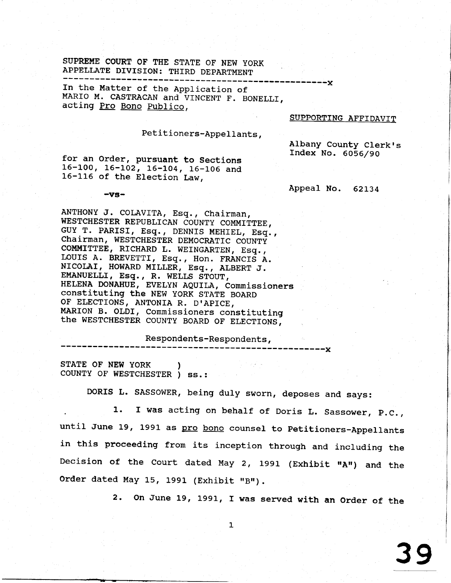## SUPREME COURT OF THE STATE OF NEW YORK APPELLATE DIVISION: THIRD DEPARTMENT

In the Matter of the Application of MARIO M. CASTRACAN and VINCENT F. BONELLI, acting Pro Bono Publico,

## SUPPORTING AFFIDAVIT

Albany County Clerk's Index No. 6056/90

-----x

## Petitioners-Appellants,

for an Order, pursuant to Sections 16-100, 16-102, 16-104, 16-106 and 16-116 of the Election Law,

 $-vs-$ 

Appeal No. 62134

 $---x$ 

ANTHONY J. COLAVITA, Esq., Chairman, WESTCHESTER REPUBLICAN COUNTY COMMITTEE, GUY T. PARISI, Esq., DENNIS MEHIEL, Esq., Chairman, WESTCHESTER DEMOCRATIC COUNTY COMMITTEE, RICHARD L. WEINGARTEN, Esq., LOUIS A. BREVETTI, Esq., Hon. FRANCIS A. NICOLAI, HOWARD MILLER, Esq., ALBERT J. EMANUELLI, Esq., R. WELLS STOUT, HELENA DONAHUE, EVELYN AQUILA, Commissioners constituting the NEW YORK STATE BOARD OF ELECTIONS, ANTONIA R. D'APICE, MARION B. OLDI, Commissioners constituting the WESTCHESTER COUNTY BOARD OF ELECTIONS,

Respondents-Respondents,

STATE OF NEW YORK COUNTY OF WESTCHESTER ) ss.:

DORIS L. SASSOWER, being duly sworn, deposes and says:

I was acting on behalf of Doris L. Sassower, P.C., 1. until June 19, 1991 as pro bono counsel to Petitioners-Appellants in this proceeding from its inception through and including the Decision of the Court dated May 2, 1991 (Exhibit "A") and the Order dated May 15, 1991 (Exhibit "B").

2. On June 19, 1991, I was served with an Order of the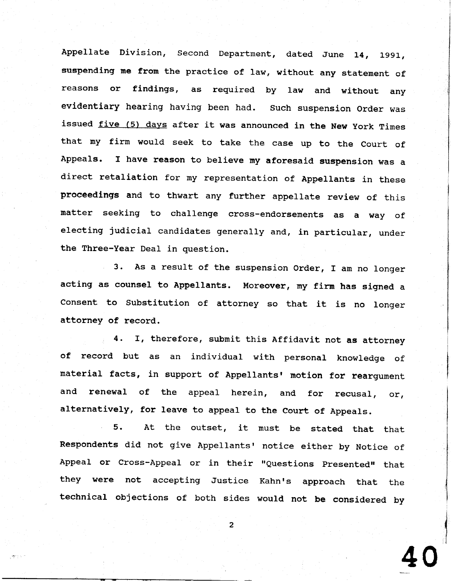Appellate Division, Second Department, dated June 14, 1991, suspending me from the practice of law, without any statement of reasons or findings, as required by law and without any evidentiary hearing having been had. Such suspension order was issued five (5) days after it was announced in the New york Times that my firm would seek to take the case up to the Court of Appeals. I have reason to believe my aforesaid suspension was a direct retaliation for my representation of Appellants in these proceedings and to thwart any further appellate review of this matter seeking to challenge cross-endorsements as a way of electing judicial candidates generally and, in particular, under the Three-Year Deal in question.

3. As a result of the suspension Order, I am no longer acting as counsel to Appellants. Moreover, my firm has signed a Consent to Substitution of attorney so that it is no longer attorney of record.

4. T, therefore, subnit this Affidavit not as attorney of record but as an individual with personal knowledge of material facts, in support of Appellants' motion for reargument and renewal of the appeal herein, and for recusal, or, alternatively, for leave to appeal to the Court of Appeals.

5. At the outset, it must be stated that that Respondents did not give Appellants' notice either by Notice of Appeal or Cross-Appeal or in their "Questions Presented" that they were not accepting Justice Kahn's approach that the technical objections of both sides would not be considered by

 $\overline{2}$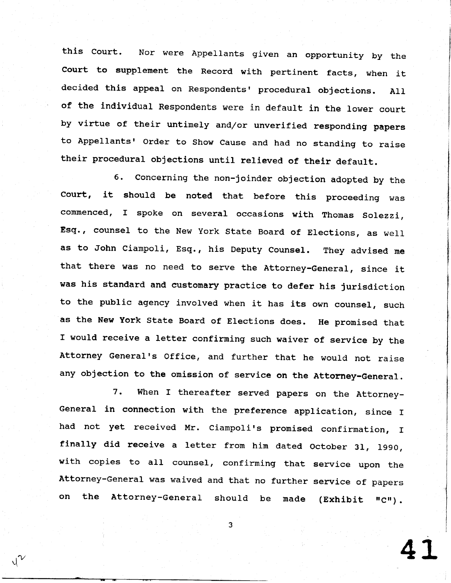this Court. Nor were Appellants given an opportunity by the court to supplement the Record with pertinent facts, when it decided this appeal on Respondents' procedural objections. All of the individual Respondents were in default in the lower court by virtue of their untimely and/or unverified responding papers to Appellants' Order to Show Cause and had no standing to raise their procedural objections until relieved of their default.

6. concerning the non-joinder objection adopted by the court, it should be noted that before this proceeding was commenced, I spoke on several occasions with Thomas Solezzi, Esq., counsel to the New York State Board of Elections, as well as to John Ciampoli, Esq., his Deputy Counsel. They advised me that there was no need to serve the Attorney-General, since it was his standard and eustonary practice to defer his jurisdiction to the public agency involved when it has its own counsel, such as the New York State Board of Elections does. He promised that I would receive a letter confirming such waiver of service by the Attorney General's Office, and further that he would not raise any objection to the omission of service on the Attorney-General.

7. When I thereafter served papers on the Attorney-General in connection with the preference application, since I had not yet received Mr. Ciampoli's promised confirmation, I finally did receive a letter from him dated October 31, 1990, with copies to all counsel, confirming that service upon the Attorney-General was waived and that no further service of papers on the Attorney-General should be made (Exhibit "C").

4 L

3

t1/ V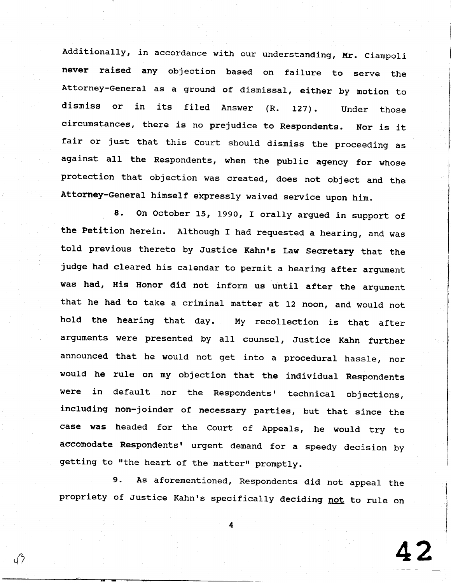Additionally, in accordance with our understanding, Mr. ciampoli never raised any objection based on failure to serve the Attorney-General as a ground of dismissal, either by motion to dismiss or in its filed Answer (R. L27). Under those circumstances, there is no prejudice to Respondents. Nor is it fair or just that this court should dismiss the proceeding as against all the Respondents, when the public agency for whose protection that objection was created, does not object and the Attorney-General himself expressly waived service upon him.

8. On October 15, 1990, I orally argued in support of the Petition herein. Although I had requested a hearing, and was told previous thereto by Justice Kahn's Law Secretary that the judge had cleared his calendar to permit a hearing after argument was had, His Honor did not inform us until after the argument that he had to take a criminal matter at 12 noon, and would not hold the hearing that day. My recollection is that after argunents were presented by all counsel, Justice Kahn further announced that he would not get into a procedural hassle, nor would he rule on ny objection that the individual Respondents were in default nor the Respondents' technical objections, including non-joinder of necessary parties, but that since the case was headed for the Court of Appeals, he would try to accomodate Respondents' urgent demand for a speedy decision by getting to "the heart of the matter" promptly.

As aforementioned, Respondents did not appeal the propriety of Justice Kahn's specifically deciding <u>not</u> to rule on 9 .

 $\mathcal{O}_1$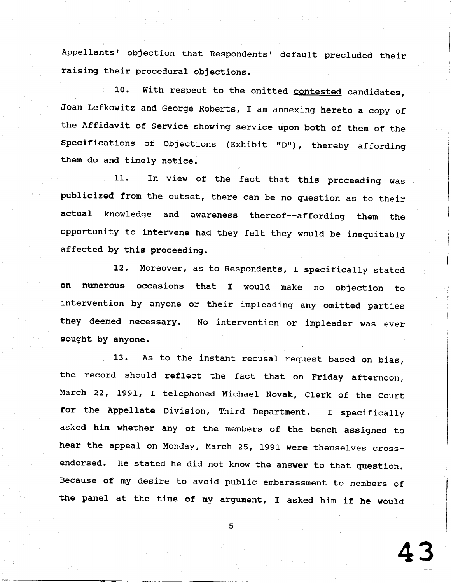Appellants' objection that Respondents' default precluded their raising their procedural objections.

10. With respect to the omitted contested candidates, Joan Lefkowitz and George Roberts, I am annexing hereto a copy of the Affidavit of Service showing service upon both of them of the Specifications of Objections (Exhibit "D"), thereby affording them do and timely notice.

11. In view of the fact that this proceeding was publicized from the outset, there can be no question as to thei actual knowledge and awareness thereof--affording them the opportunity to intervene had they felt they would be inequitab affected by this proceeding.

12. Moreover, as to Respondents, I specifically stated on numerous occasions that I would make no objection to intervention by anyone or their impleading any omitted parties they deemed necessary. No intervention or impleader was ever sought by anyone.

13. As to the instant recusal request based on bias, the record should reflect the fact that on Friday afternoon, March 22, 1991, I telephoned Michael Novak, Clerk of the Court for the Appellate Division, Third Department. I specifically asked hin whether any of the members of the bench assigned to hear the appeal on Monday, March 25, 1991 were thenselves crossendorsed. He stated he did not know the answer to that question. Because of my desire to avoid public embarassment to members of the panel at the time of my argument, I asked him if he would

4 3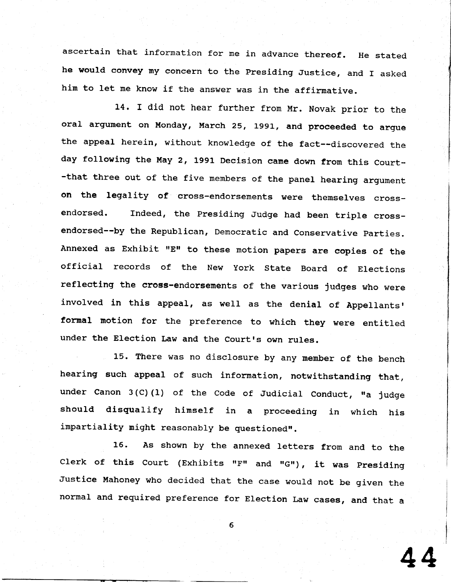ascertain that information for me in advance thereof. He stated he would convey my concern to the Presiding Justice, and I asked him to let me know if the answer was in the affirmative.

14. I did not hear further from Mr. Novak prior to the oral argument on Monday, March 25, 1991, and proceeded to argue the appeal herein, without knowledge of the fact--discovered the day following the May 2, 1991 Decision came down from this Court- -that three out of the five members of the panel hearing argument on the legality of cross-endorsements were themselves crossendorsed. Indeed, the Presiding Judge had been triple crossendorsed--by the Republican, Democratic and Conservative parties. Annexed as Exhibit "E" to these motion papers are copies of the official records of the New York State Board of Elections reflecting the cross-endorsements of the various judges who were involved in this appeal, as well as the denial of Appellants' formal motion for the preference to which they were entitled under the Election Law and the Court's own rules.

L5. There was no disclosure by any nember of the bench hearing such appeal of such information, notwithstanding that, under Canon  $3(C)$  (1) of the Code of Judicial Conduct, "a judge should disqualify himself in a proceeding in which his impartiality might reasonably be questioned".

16. As shown by the annexed 1etters from and to the Clerk of this Court (Exhibits "F" and "G"), it was Presidin Justice Mahoney who decided that the case would not be given the normal and required preference for Election Law cases, and that a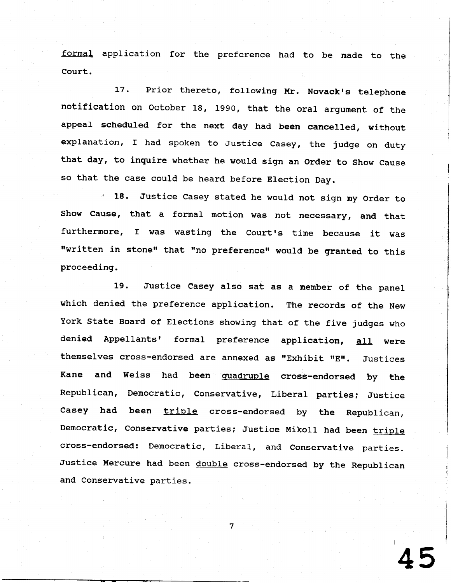formal application for the preference had to be made to the Court.

17. Prior thereto, following Mr. Novack's telephone notification on October 18, 1990, that the oral argument of the appeal scheduled for the next day had been cancelled, without explanation, I had spoken to Justice Casey, the judge on duty that day, to inquire whether he would sign an Order to Show Cause so that the case could be heard before Election Day.

18. Justice Casey stated he would not sign my Order to Show Cause, that a formal motion was not necessary, and that furthermore, I was wasting the Court's time because it was "written in stone" that "no preference" would be granted to this proceeding.

19. Justice casey also sat as a member of the panel which denied the preference application. The records of the New York State Board of Elections showing that of the five judges who denied Appellants' formal preference application, all were themselves cross-endorsed are annexed as "Exhibit "E". Justices Kane and Weiss had been quadruple cross-endorsed by the Republican, Democratic, Conservative, Liberal parties; Justice Casey had been triple cross-endorsed by the Republican, Democratic, Conservative parties; Justice Mikoll had been triple cross-endorsed: Democratic, Liberal, and conservative parties. Justice Mercure had been double cross-endorsed by the Republican and Conservative parties.